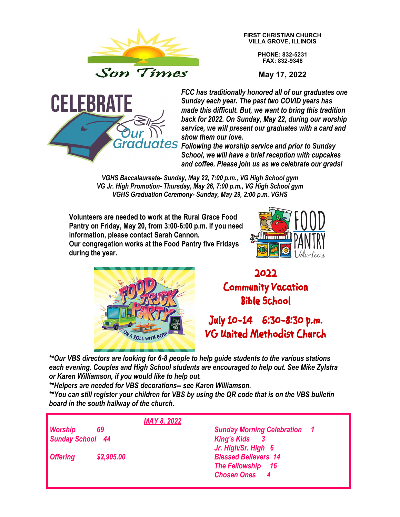

**FIRST CHRISTIAN CHURCH VILLA GROVE, ILLINOIS**

> **PHONE: 832-5231 FAX: 832-9348**

**May 17, 2022**



*FCC has traditionally honored all of our graduates one Sunday each year. The past two COVID years has made this difficult. But, we want to bring this tradition back for 2022. On Sunday, May 22, during our worship service, we will present our graduates with a card and show them our love.* 

*Following the worship service and prior to Sunday School, we will have a brief reception with cupcakes and coffee. Please join us as we celebrate our grads!*

*VGHS Baccalaureate- Sunday, May 22, 7:00 p.m., VG High School gym VG Jr. High Promotion- Thursday, May 26, 7:00 p.m., VG High School gym VGHS Graduation Ceremony- Sunday, May 29, 2:00 p.m. VGHS*

**Volunteers are needed to work at the Rural Grace Food Pantry on Friday, May 20, from 3:00-6:00 p.m. If you need information, please contact Sarah Cannon. Our congregation works at the Food Pantry five Fridays during the year.**





**2022 Community Vacation Bible School** 

## **July 10-14 6:30-8:30 p.m. VG United Methodist Church**

*\*\*Our VBS directors are looking for 6-8 people to help guide students to the various stations each evening. Couples and High School students are encouraged to help out. See Mike Zylstra or Karen Williamson, if you would like to help out.*

*\*\*Helpers are needed for VBS decorations-- see Karen Williamson.*

*\*\*You can still register your children for VBS by using the QR code that is on the VBS bulletin board in the south hallway of the church.*

|                         | <b>MAY 8, 2022</b> |                                                                                 |
|-------------------------|--------------------|---------------------------------------------------------------------------------|
| Worship                 | 69                 | <b>Sunday Morning Celebration 1</b>                                             |
| <b>Sunday School 44</b> |                    | <b>King's Kids</b><br>Jr. High/Sr. High 6                                       |
| <b>Offering</b>         | \$2,905.00         | <b>Blessed Believers 14</b><br><b>The Fellowship</b> 16<br><b>Chosen Ones 4</b> |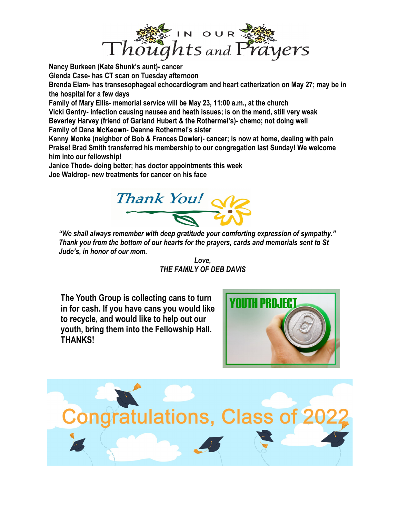

**Nancy Burkeen (Kate Shunk's aunt)- cancer Glenda Case- has CT scan on Tuesday afternoon Brenda Elam- has transesophageal echocardiogram and heart catherization on May 27; may be in the hospital for a few days Family of Mary Ellis- memorial service will be May 23, 11:00 a.m., at the church Vicki Gentry- infection causing nausea and heath issues; is on the mend, still very weak Beverley Harvey (friend of Garland Hubert & the Rothermel's)- chemo; not doing well Family of Dana McKeown- Deanne Rothermel's sister Kenny Monke (neighbor of Bob & Frances Dowler)- cancer; is now at home, dealing with pain Praise! Brad Smith transferred his membership to our congregation last Sunday! We welcome him into our fellowship!**

**Janice Thode- doing better; has doctor appointments this week Joe Waldrop- new treatments for cancer on his face**



*"We shall always remember with deep gratitude your comforting expression of sympathy." Thank you from the bottom of our hearts for the prayers, cards and memorials sent to St Jude's, in honor of our mom.*

> *Love, THE FAMILY OF DEB DAVIS*

**The Youth Group is collecting cans to turn in for cash. If you have cans you would like to recycle, and would like to help out our youth, bring them into the Fellowship Hall. THANKS!**